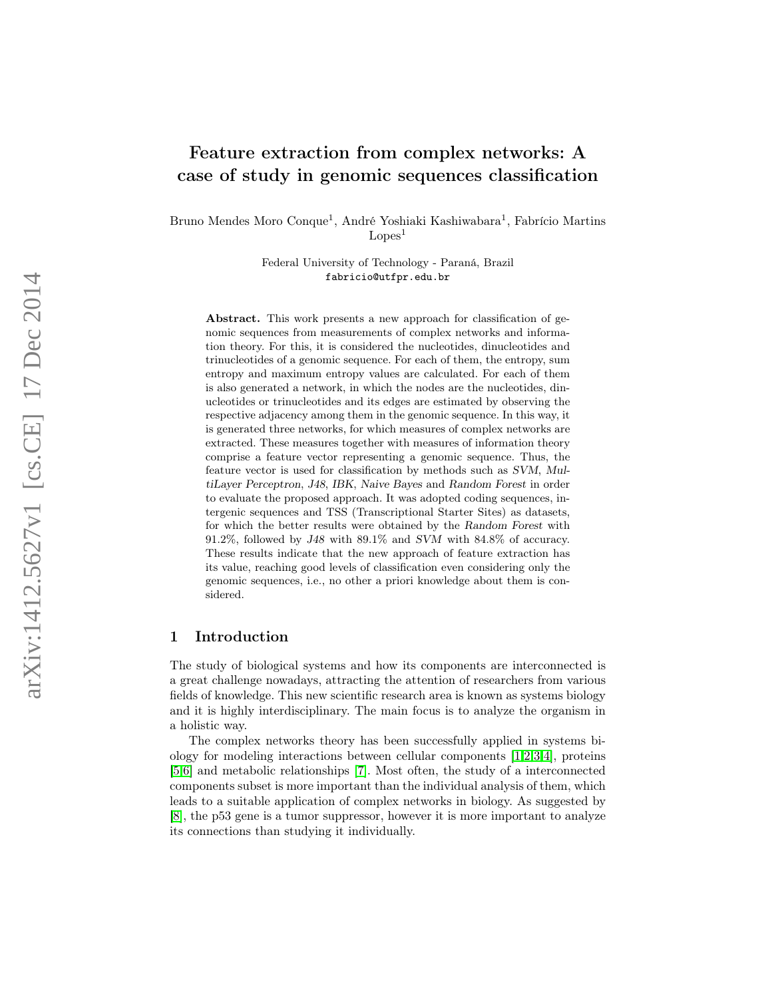# Feature extraction from complex networks: A case of study in genomic sequences classification

Bruno Mendes Moro Conque 1 , André Yoshiaki Kashiwabara 1 , Fabrício Martins  $\text{Lopes}^1$ 

> Federal University of Technology - Paraná, Brazil fabricio@utfpr.edu.br

Abstract. This work presents a new approach for classification of genomic sequences from measurements of complex networks and information theory. For this, it is considered the nucleotides, dinucleotides and trinucleotides of a genomic sequence. For each of them, the entropy, sum entropy and maximum entropy values are calculated. For each of them is also generated a network, in which the nodes are the nucleotides, dinucleotides or trinucleotides and its edges are estimated by observing the respective adjacency among them in the genomic sequence. In this way, it is generated three networks, for which measures of complex networks are extracted. These measures together with measures of information theory comprise a feature vector representing a genomic sequence. Thus, the feature vector is used for classification by methods such as SVM , MultiLayer Perceptron, J48, IBK, Naive Bayes and Random Forest in order to evaluate the proposed approach. It was adopted coding sequences, intergenic sequences and TSS (Transcriptional Starter Sites) as datasets, for which the better results were obtained by the Random Forest with 91.2%, followed by J48 with 89.1% and SVM with 84.8% of accuracy. These results indicate that the new approach of feature extraction has its value, reaching good levels of classification even considering only the genomic sequences, i.e., no other a priori knowledge about them is considered.

# 1 Introduction

The study of biological systems and how its components are interconnected is a great challenge nowadays, attracting the attention of researchers from various fields of knowledge. This new scientific research area is known as systems biology and it is highly interdisciplinary. The main focus is to analyze the organism in a holistic way.

The complex networks theory has been successfully applied in systems biology for modeling interactions between cellular components [\[1,](#page-6-0)[2,](#page-6-1)[3](#page-6-2)[,4\]](#page-6-3), proteins [\[5,](#page-6-4)[6\]](#page-6-5) and metabolic relationships [\[7\]](#page-6-6). Most often, the study of a interconnected components subset is more important than the individual analysis of them, which leads to a suitable application of complex networks in biology. As suggested by [\[8\]](#page-6-7), the p53 gene is a tumor suppressor, however it is more important to analyze its connections than studying it individually.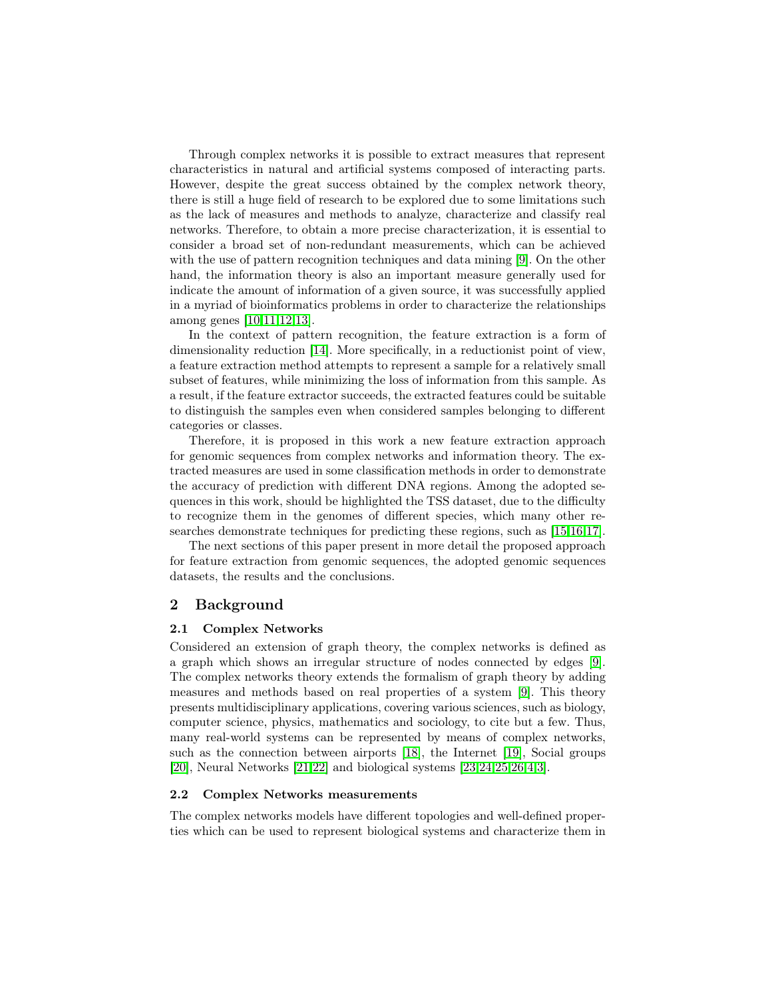Through complex networks it is possible to extract measures that represent characteristics in natural and artificial systems composed of interacting parts. However, despite the great success obtained by the complex network theory, there is still a huge field of research to be explored due to some limitations such as the lack of measures and methods to analyze, characterize and classify real networks. Therefore, to obtain a more precise characterization, it is essential to consider a broad set of non-redundant measurements, which can be achieved with the use of pattern recognition techniques and data mining [\[9\]](#page-6-8). On the other hand, the information theory is also an important measure generally used for indicate the amount of information of a given source, it was successfully applied in a myriad of bioinformatics problems in order to characterize the relationships among genes [\[10](#page-6-9)[,11,](#page-6-10)[12,](#page-7-0)[13\]](#page-7-1).

In the context of pattern recognition, the feature extraction is a form of dimensionality reduction [\[14\]](#page-7-2). More specifically, in a reductionist point of view, a feature extraction method attempts to represent a sample for a relatively small subset of features, while minimizing the loss of information from this sample. As a result, if the feature extractor succeeds, the extracted features could be suitable to distinguish the samples even when considered samples belonging to different categories or classes.

Therefore, it is proposed in this work a new feature extraction approach for genomic sequences from complex networks and information theory. The extracted measures are used in some classification methods in order to demonstrate the accuracy of prediction with different DNA regions. Among the adopted sequences in this work, should be highlighted the TSS dataset, due to the difficulty to recognize them in the genomes of different species, which many other researches demonstrate techniques for predicting these regions, such as [\[15,](#page-7-3)[16,](#page-7-4)[17\]](#page-7-5).

The next sections of this paper present in more detail the proposed approach for feature extraction from genomic sequences, the adopted genomic sequences datasets, the results and the conclusions.

## 2 Background

#### <span id="page-1-0"></span>2.1 Complex Networks

Considered an extension of graph theory, the complex networks is defined as a graph which shows an irregular structure of nodes connected by edges [\[9\]](#page-6-8). The complex networks theory extends the formalism of graph theory by adding measures and methods based on real properties of a system [\[9\]](#page-6-8). This theory presents multidisciplinary applications, covering various sciences, such as biology, computer science, physics, mathematics and sociology, to cite but a few. Thus, many real-world systems can be represented by means of complex networks, such as the connection between airports [\[18\]](#page-7-6), the Internet [\[19\]](#page-7-7), Social groups [\[20\]](#page-7-8), Neural Networks [\[21](#page-7-9)[,22\]](#page-7-10) and biological systems [\[23,](#page-7-11)[24,](#page-7-12)[25,](#page-7-13)[26,](#page-7-14)[4,](#page-6-3)[3\]](#page-6-2).

#### 2.2 Complex Networks measurements

The complex networks models have different topologies and well-defined properties which can be used to represent biological systems and characterize them in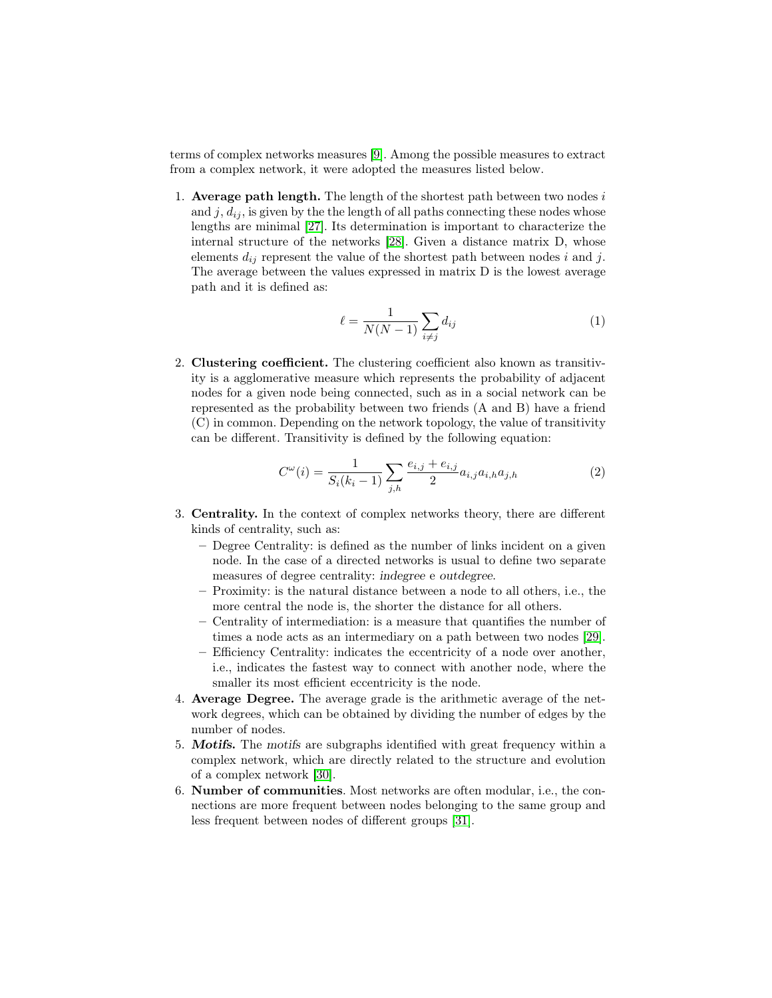terms of complex networks measures [\[9\]](#page-6-8). Among the possible measures to extract from a complex network, it were adopted the measures listed below.

1. Average path length. The length of the shortest path between two nodes  $i$ and j,  $d_{ij}$ , is given by the the length of all paths connecting these nodes whose lengths are minimal [\[27\]](#page-7-15). Its determination is important to characterize the internal structure of the networks [\[28\]](#page-7-16). Given a distance matrix D, whose elements  $d_{ij}$  represent the value of the shortest path between nodes i and j. The average between the values expressed in matrix D is the lowest average path and it is defined as:

$$
\ell = \frac{1}{N(N-1)} \sum_{i \neq j} d_{ij} \tag{1}
$$

2. Clustering coefficient. The clustering coefficient also known as transitivity is a agglomerative measure which represents the probability of adjacent nodes for a given node being connected, such as in a social network can be represented as the probability between two friends (A and B) have a friend (C) in common. Depending on the network topology, the value of transitivity can be different. Transitivity is defined by the following equation:

$$
C^{\omega}(i) = \frac{1}{S_i(k_i - 1)} \sum_{j,h} \frac{e_{i,j} + e_{i,j}}{2} a_{i,j} a_{i,h} a_{j,h}
$$
 (2)

- 3. Centrality. In the context of complex networks theory, there are different kinds of centrality, such as:
	- Degree Centrality: is defined as the number of links incident on a given node. In the case of a directed networks is usual to define two separate measures of degree centrality: indegree e outdegree.
	- Proximity: is the natural distance between a node to all others, i.e., the more central the node is, the shorter the distance for all others.
	- Centrality of intermediation: is a measure that quantifies the number of times a node acts as an intermediary on a path between two nodes [\[29\]](#page-7-17).
	- Efficiency Centrality: indicates the eccentricity of a node over another, i.e., indicates the fastest way to connect with another node, where the smaller its most efficient eccentricity is the node.
- 4. Average Degree. The average grade is the arithmetic average of the network degrees, which can be obtained by dividing the number of edges by the number of nodes.
- 5. Motifs. The motifs are subgraphs identified with great frequency within a complex network, which are directly related to the structure and evolution of a complex network [\[30\]](#page-7-18).
- 6. Number of communities. Most networks are often modular, i.e., the connections are more frequent between nodes belonging to the same group and less frequent between nodes of different groups [\[31\]](#page-7-19).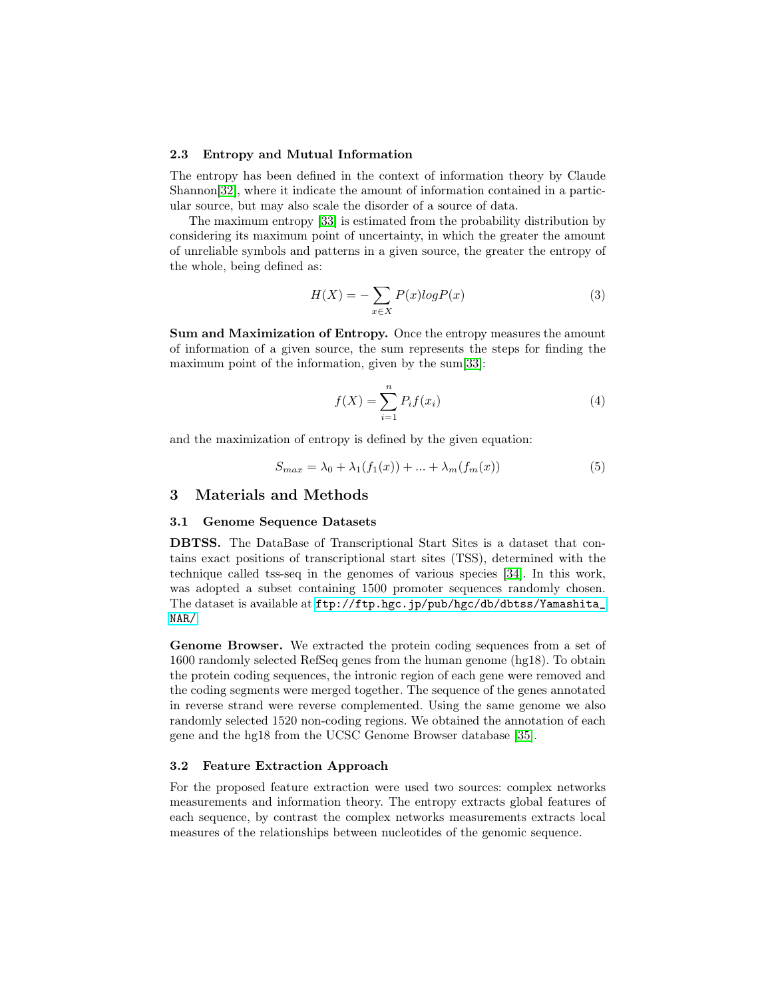#### <span id="page-3-0"></span>2.3 Entropy and Mutual Information

The entropy has been defined in the context of information theory by Claude Shannon[\[32\]](#page-7-20), where it indicate the amount of information contained in a particular source, but may also scale the disorder of a source of data.

The maximum entropy [\[33\]](#page-7-21) is estimated from the probability distribution by considering its maximum point of uncertainty, in which the greater the amount of unreliable symbols and patterns in a given source, the greater the entropy of the whole, being defined as:

$$
H(X) = -\sum_{x \in X} P(x)log P(x) \tag{3}
$$

Sum and Maximization of Entropy. Once the entropy measures the amount of information of a given source, the sum represents the steps for finding the maximum point of the information, given by the sum[\[33\]](#page-7-21):

$$
f(X) = \sum_{i=1}^{n} P_i f(x_i)
$$
 (4)

and the maximization of entropy is defined by the given equation:

$$
S_{max} = \lambda_0 + \lambda_1(f_1(x)) + \dots + \lambda_m(f_m(x))
$$
\n<sup>(5)</sup>

## 3 Materials and Methods

#### <span id="page-3-1"></span>3.1 Genome Sequence Datasets

DBTSS. The DataBase of Transcriptional Start Sites is a dataset that contains exact positions of transcriptional start sites (TSS), determined with the technique called tss-seq in the genomes of various species [\[34\]](#page-7-22). In this work, was adopted a subset containing 1500 promoter sequences randomly chosen. The dataset is available at [ftp://ftp.hgc.jp/pub/hgc/db/dbtss/Yamashita\\_](ftp://ftp.hgc.jp/pub/hgc/db/dbtss/Yamashita_NAR/) [NAR/](ftp://ftp.hgc.jp/pub/hgc/db/dbtss/Yamashita_NAR/).

Genome Browser. We extracted the protein coding sequences from a set of 1600 randomly selected RefSeq genes from the human genome (hg18). To obtain the protein coding sequences, the intronic region of each gene were removed and the coding segments were merged together. The sequence of the genes annotated in reverse strand were reverse complemented. Using the same genome we also randomly selected 1520 non-coding regions. We obtained the annotation of each gene and the hg18 from the UCSC Genome Browser database [\[35\]](#page-7-23).

### 3.2 Feature Extraction Approach

For the proposed feature extraction were used two sources: complex networks measurements and information theory. The entropy extracts global features of each sequence, by contrast the complex networks measurements extracts local measures of the relationships between nucleotides of the genomic sequence.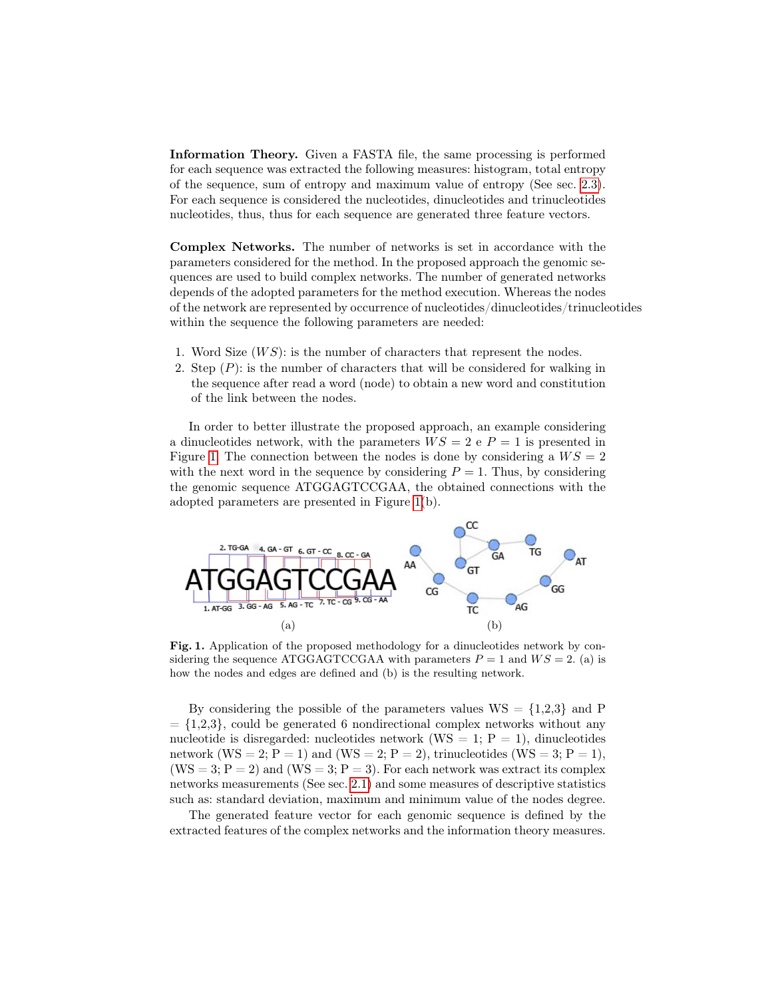Information Theory. Given a FASTA file, the same processing is performed for each sequence was extracted the following measures: histogram, total entropy of the sequence, sum of entropy and maximum value of entropy (See sec. [2.3\)](#page-3-0). For each sequence is considered the nucleotides, dinucleotides and trinucleotides nucleotides, thus, thus for each sequence are generated three feature vectors.

Complex Networks. The number of networks is set in accordance with the parameters considered for the method. In the proposed approach the genomic sequences are used to build complex networks. The number of generated networks depends of the adopted parameters for the method execution. Whereas the nodes of the network are represented by occurrence of nucleotides/dinucleotides/trinucleotides within the sequence the following parameters are needed:

- 1. Word Size  $(W S)$ : is the number of characters that represent the nodes.
- 2. Step  $(P)$ : is the number of characters that will be considered for walking in the sequence after read a word (node) to obtain a new word and constitution of the link between the nodes.

In order to better illustrate the proposed approach, an example considering a dinucleotides network, with the parameters  $WS = 2 e P = 1$  is presented in Figure [1.](#page-4-0) The connection between the nodes is done by considering a  $WS = 2$ with the next word in the sequence by considering  $P = 1$ . Thus, by considering the genomic sequence ATGGAGTCCGAA, the obtained connections with the adopted parameters are presented in Figure [1\(](#page-4-0)b).



<span id="page-4-0"></span>Fig. 1. Application of the proposed methodology for a dinucleotides network by considering the sequence ATGGAGTCCGAA with parameters  $P = 1$  and  $WS = 2$ . (a) is how the nodes and edges are defined and (b) is the resulting network.

By considering the possible of the parameters values  $WS = \{1,2,3\}$  and P  $= \{1,2,3\}$ , could be generated 6 nondirectional complex networks without any nucleotide is disregarded: nucleotides network (WS  $= 1$ ; P  $= 1$ ), dinucleotides network (WS = 2; P = 1) and (WS = 2; P = 2), trinucleotides (WS = 3; P = 1),  $(WS = 3; P = 2)$  and  $(WS = 3; P = 3)$ . For each network was extract its complex networks measurements (See sec. [2.1\)](#page-1-0) and some measures of descriptive statistics such as: standard deviation, maximum and minimum value of the nodes degree.

The generated feature vector for each genomic sequence is defined by the extracted features of the complex networks and the information theory measures.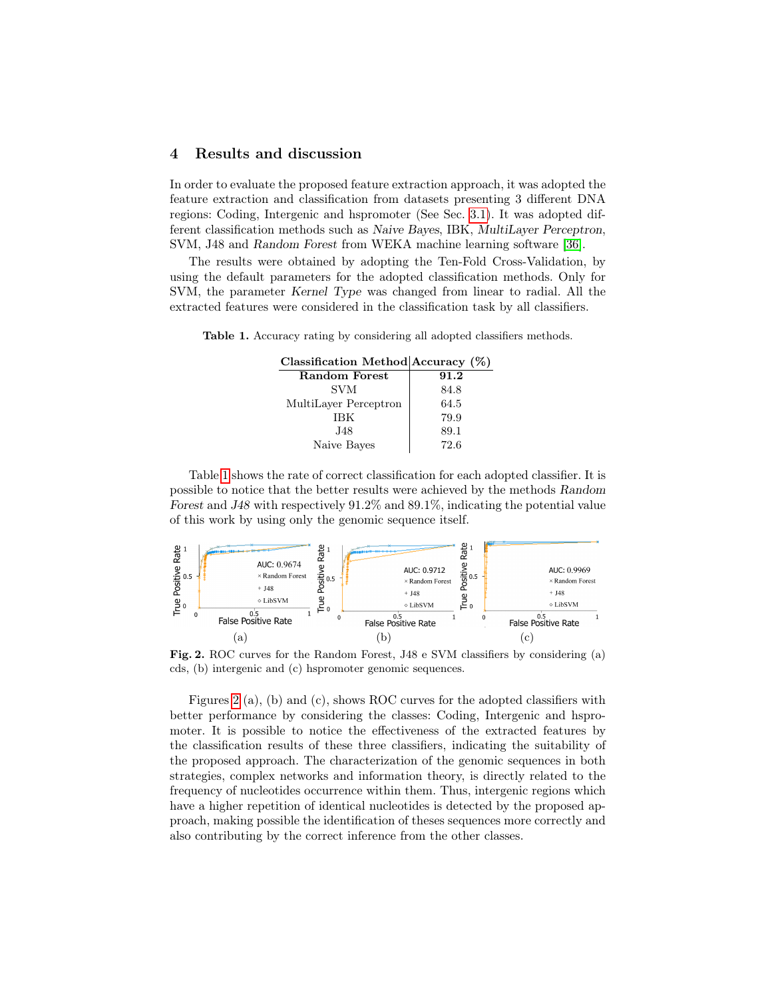# 4 Results and discussion

In order to evaluate the proposed feature extraction approach, it was adopted the feature extraction and classification from datasets presenting 3 different DNA regions: Coding, Intergenic and hspromoter (See Sec. [3.1\)](#page-3-1). It was adopted different classification methods such as Naive Bayes, IBK, MultiLayer Perceptron, SVM, J48 and Random Forest from WEKA machine learning software [\[36\]](#page-7-24).

The results were obtained by adopting the Ten-Fold Cross-Validation, by using the default parameters for the adopted classification methods. Only for SVM, the parameter Kernel Type was changed from linear to radial. All the extracted features were considered in the classification task by all classifiers.

Table 1. Accuracy rating by considering all adopted classifiers methods.

<span id="page-5-0"></span>

| Classification Method Accuracy (%) |      |
|------------------------------------|------|
| Random Forest                      | 91.2 |
| <b>SVM</b>                         | 84.8 |
| MultiLayer Perceptron              | 64.5 |
| IBK                                | 79.9 |
| J48.                               | 89.1 |
| Naive Bayes                        | 72.6 |

Table [1](#page-5-0) shows the rate of correct classification for each adopted classifier. It is possible to notice that the better results were achieved by the methods Random Forest and J48 with respectively 91.2% and 89.1%, indicating the potential value of this work by using only the genomic sequence itself.



<span id="page-5-1"></span>Fig. 2. ROC curves for the Random Forest, J48 e SVM classifiers by considering (a) cds, (b) intergenic and (c) hspromoter genomic sequences.

Figures [2](#page-5-1) (a), (b) and (c), shows ROC curves for the adopted classifiers with better performance by considering the classes: Coding, Intergenic and hspromoter. It is possible to notice the effectiveness of the extracted features by the classification results of these three classifiers, indicating the suitability of the proposed approach. The characterization of the genomic sequences in both strategies, complex networks and information theory, is directly related to the frequency of nucleotides occurrence within them. Thus, intergenic regions which have a higher repetition of identical nucleotides is detected by the proposed approach, making possible the identification of theses sequences more correctly and also contributing by the correct inference from the other classes.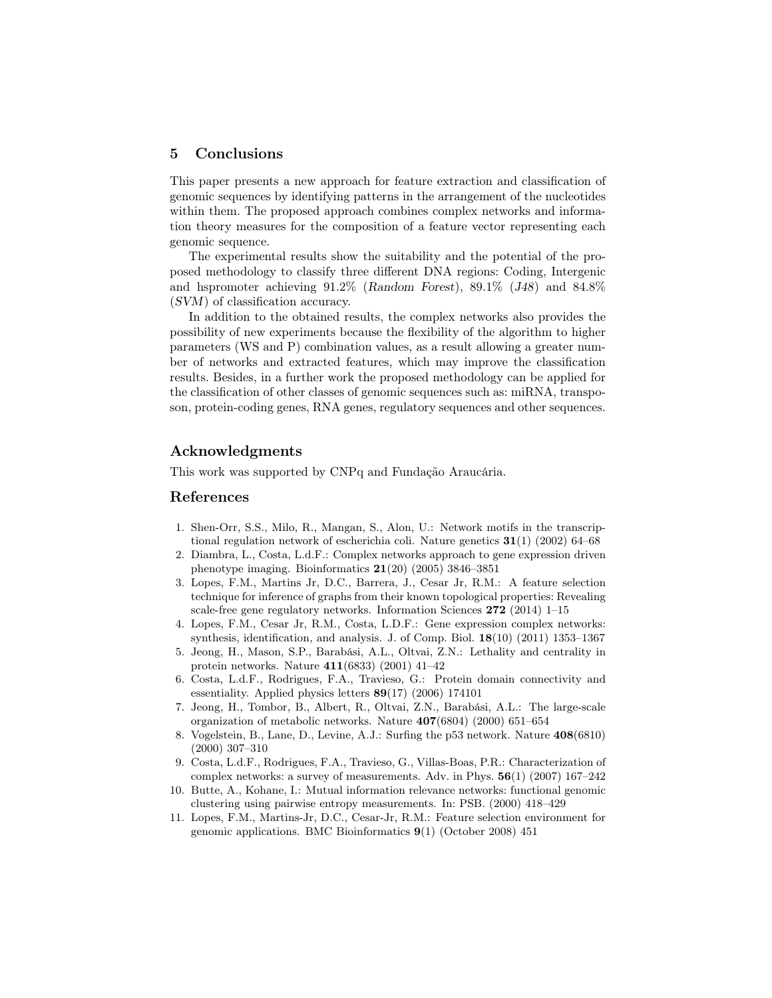## 5 Conclusions

This paper presents a new approach for feature extraction and classification of genomic sequences by identifying patterns in the arrangement of the nucleotides within them. The proposed approach combines complex networks and information theory measures for the composition of a feature vector representing each genomic sequence.

The experimental results show the suitability and the potential of the proposed methodology to classify three different DNA regions: Coding, Intergenic and hspromoter achieving 91.2% (Random Forest), 89.1% (J48) and 84.8% (SVM) of classification accuracy.

In addition to the obtained results, the complex networks also provides the possibility of new experiments because the flexibility of the algorithm to higher parameters (WS and P) combination values, as a result allowing a greater number of networks and extracted features, which may improve the classification results. Besides, in a further work the proposed methodology can be applied for the classification of other classes of genomic sequences such as: miRNA, transposon, protein-coding genes, RNA genes, regulatory sequences and other sequences.

## Acknowledgments

This work was supported by CNPq and Fundação Araucária.

## References

- <span id="page-6-0"></span>1. Shen-Orr, S.S., Milo, R., Mangan, S., Alon, U.: Network motifs in the transcriptional regulation network of escherichia coli. Nature genetics 31(1) (2002) 64–68
- <span id="page-6-1"></span>2. Diambra, L., Costa, L.d.F.: Complex networks approach to gene expression driven phenotype imaging. Bioinformatics  $21(20)$  (2005) 3846–3851
- <span id="page-6-2"></span>3. Lopes, F.M., Martins Jr, D.C., Barrera, J., Cesar Jr, R.M.: A feature selection technique for inference of graphs from their known topological properties: Revealing scale-free gene regulatory networks. Information Sciences 272 (2014) 1–15
- <span id="page-6-3"></span>4. Lopes, F.M., Cesar Jr, R.M., Costa, L.D.F.: Gene expression complex networks: synthesis, identification, and analysis. J. of Comp. Biol. 18(10) (2011) 1353–1367
- <span id="page-6-4"></span>5. Jeong, H., Mason, S.P., Barabási, A.L., Oltvai, Z.N.: Lethality and centrality in protein networks. Nature 411(6833) (2001) 41–42
- <span id="page-6-5"></span>6. Costa, L.d.F., Rodrigues, F.A., Travieso, G.: Protein domain connectivity and essentiality. Applied physics letters  $89(17)$  (2006) 174101
- <span id="page-6-6"></span>7. Jeong, H., Tombor, B., Albert, R., Oltvai, Z.N., Barabási, A.L.: The large-scale organization of metabolic networks. Nature 407(6804) (2000) 651–654
- <span id="page-6-7"></span>8. Vogelstein, B., Lane, D., Levine, A.J.: Surfing the p53 network. Nature 408(6810) (2000) 307–310
- <span id="page-6-8"></span>9. Costa, L.d.F., Rodrigues, F.A., Travieso, G., Villas-Boas, P.R.: Characterization of complex networks: a survey of measurements. Adv. in Phys.  $56(1)$  (2007) 167–242
- <span id="page-6-9"></span>10. Butte, A., Kohane, I.: Mutual information relevance networks: functional genomic clustering using pairwise entropy measurements. In: PSB. (2000) 418–429
- <span id="page-6-10"></span>11. Lopes, F.M., Martins-Jr, D.C., Cesar-Jr, R.M.: Feature selection environment for genomic applications. BMC Bioinformatics 9(1) (October 2008) 451